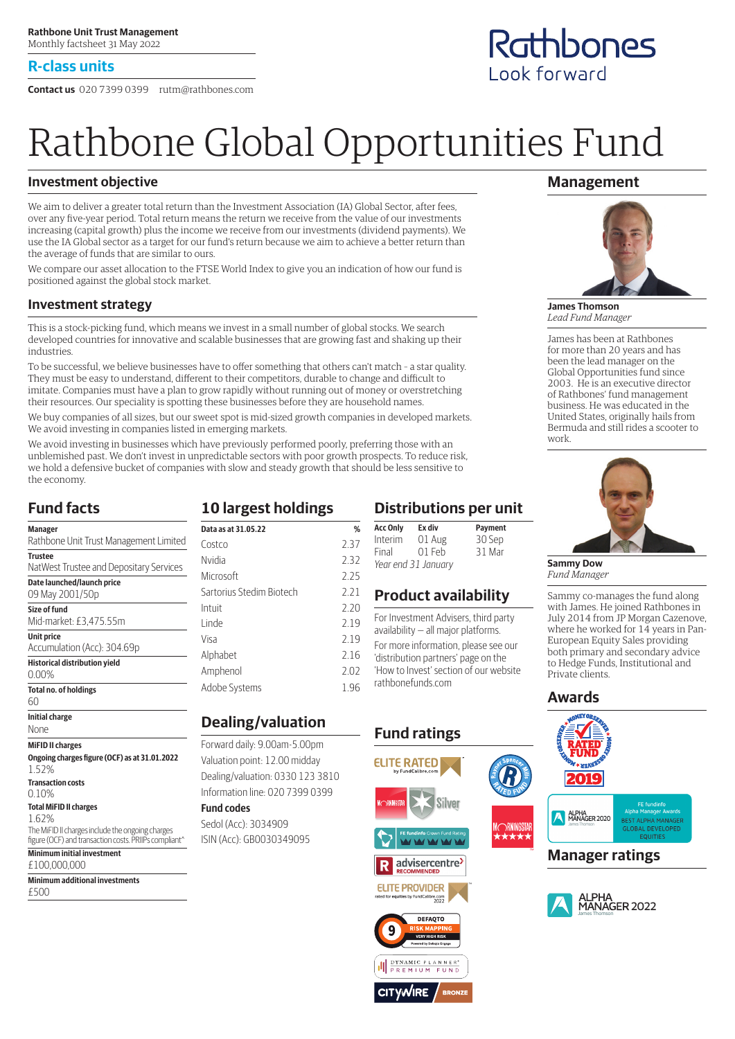#### **R-class units**

**Contact us** 020 7399 0399 rutm@rathbones.com

# Rathbone Global Opportunities Fund

#### **Investment objective**

We aim to deliver a greater total return than the Investment Association (IA) Global Sector, after fees, over any five-year period. Total return means the return we receive from the value of our investments increasing (capital growth) plus the income we receive from our investments (dividend payments). We use the IA Global sector as a target for our fund's return because we aim to achieve a better return than the average of funds that are similar to ours.

We compare our asset allocation to the FTSE World Index to give you an indication of how our fund is positioned against the global stock market.

#### **Investment strategy**

This is a stock-picking fund, which means we invest in a small number of global stocks. We search developed countries for innovative and scalable businesses that are growing fast and shaking up their industries.

To be successful, we believe businesses have to offer something that others can't match – a star quality. They must be easy to understand, different to their competitors, durable to change and difficult to imitate. Companies must have a plan to grow rapidly without running out of money or overstretching their resources. Our speciality is spotting these businesses before they are household names.

We buy companies of all sizes, but our sweet spot is mid-sized growth companies in developed markets. We avoid investing in companies listed in emerging markets.

We avoid investing in businesses which have previously performed poorly, preferring those with an unblemished past. We don't invest in unpredictable sectors with poor growth prospects. To reduce risk, we hold a defensive bucket of companies with slow and steady growth that should be less sensitive to the economy.

#### **Fund facts**

| Manager                                                |
|--------------------------------------------------------|
| Rathbone Unit Trust Management Limited                 |
| <b>Trustee</b>                                         |
| NatWest Trustee and Depositary Services                |
| Date launched/launch price                             |
| 09 May 2001/50p                                        |
| Size of fund                                           |
| Mid-market: £3,475.55m                                 |
| <b>Unit price</b>                                      |
| Accumulation (Acc): 304.69p                            |
| <b>Historical distribution yield</b>                   |
| $0.00\%$                                               |
| <b>Total no. of holdings</b>                           |
| 60                                                     |
| <b>Initial charge</b>                                  |
| None                                                   |
| <b>MiFID II charges</b>                                |
| Ongoing charges figure (OCF) as at 31.01.2022<br>1.52% |
| <b>Transaction costs</b>                               |
| 0.10%                                                  |
| <b>Total MiFID II charges</b>                          |

1.62% The MiFID II charges include the ongoing charges figure (OCF) and transaction costs. PRIIPs compliant<sup>^</sup> **Minimum initial investment**

£100,000,000

**Minimum additional investments** £500

# **10 largest holdings**

| Data as at 31.05.22      | %    |
|--------------------------|------|
| Costro                   | 237  |
| Nvidia                   | 2.32 |
| Microsoft                | 2.25 |
| Sartorius Stedim Biotech | 2.21 |
| Intuit                   | 2.20 |
| Linde                    | 2.19 |
| Visa                     | 2.19 |
| Alphabet                 | 2.16 |
| Amphenol                 | 2.02 |
| Adobe Systems            | 1 96 |

#### **Dealing/valuation**

Forward daily: 9.00am‑5.00pm Valuation point: 12.00 midday Dealing/valuation: 0330 123 3810 Information line: 020 7399 0399

#### **Fund codes**

Sedol (Acc): 3034909 ISIN (Acc): GB0030349095

### **Distributions per unit**

| <b>Acc Only</b>     | Ex div | Payment |
|---------------------|--------|---------|
| Interim             | 01 Aug | 30 Sep  |
| Final               | 01 Feb | 31 Mar  |
| Year end 31 January |        |         |

#### **Product availability**

For Investment Advisers, third party availability — all major platforms.

For more information, please see our 'distribution partners' page on the 'How to Invest' section of our website rathbonefunds.com



**DYNAMIC PLANNER<sup>\*</sup>**<br>PREMIUM FUND

**BRONZ** 

**CITYWIRE** 

#### **Management**



**James Thomson** *Lead Fund Manager*

James has been at Rathbones for more than 20 years and has been the lead manager on the Global Opportunities fund since 2003. He is an executive director of Rathbones' fund management business. He was educated in the United States, originally hails from Bermuda and still rides a scooter to work.



**Sammy Dow** *Fund Manager*

Sammy co-manages the fund along with James. He joined Rathbones in July 2014 from JP Morgan Cazenove, where he worked for 14 years in Pan-European Equity Sales providing both primary and secondary advice to Hedge Funds, Institutional and

#### **Awards**







Rathbones Look forward